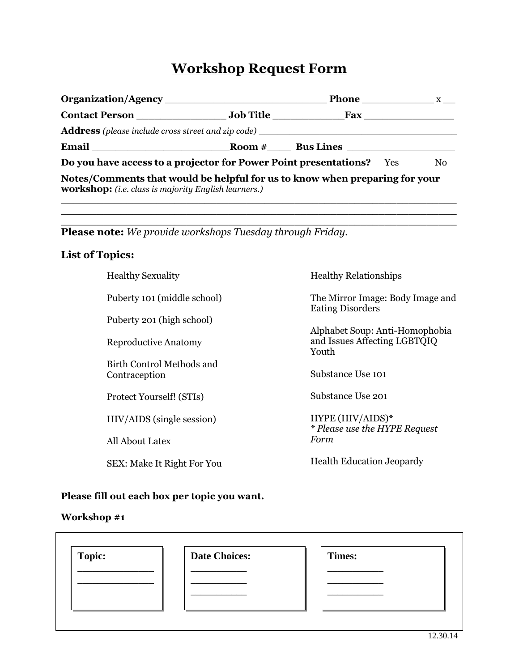# **Workshop Request Form**

|                                                                                                                                     |  | Phone $\frac{X}{X}$          |  |  |  |
|-------------------------------------------------------------------------------------------------------------------------------------|--|------------------------------|--|--|--|
|                                                                                                                                     |  | Fax                          |  |  |  |
| <b>Address</b> (please include cross street and zip code)                                                                           |  |                              |  |  |  |
|                                                                                                                                     |  | $\textbf{Room} \#$ Bus Lines |  |  |  |
| Do you have access to a projector for Power Point presentations? Yes<br>N <sub>0</sub>                                              |  |                              |  |  |  |
| Notes/Comments that would be helpful for us to know when preparing for your<br>workshop: (i.e. class is majority English learners.) |  |                              |  |  |  |

 $\_$  , and the set of the set of the set of the set of the set of the set of the set of the set of the set of the set of the set of the set of the set of the set of the set of the set of the set of the set of the set of th  $\overline{a_1}$  ,  $\overline{a_2}$  ,  $\overline{a_3}$  ,  $\overline{a_4}$  ,  $\overline{a_5}$  ,  $\overline{a_6}$  ,  $\overline{a_7}$  ,  $\overline{a_8}$  ,  $\overline{a_9}$  ,  $\overline{a_9}$  ,  $\overline{a_9}$  ,  $\overline{a_9}$  ,  $\overline{a_9}$  ,  $\overline{a_9}$  ,  $\overline{a_9}$  ,  $\overline{a_9}$  ,  $\overline{a_9}$  ,

**Please note:** *We provide workshops Tuesday through Friday.*

## **List of Topics:**

| <b>Healthy Sexuality</b>                   | <b>Healthy Relationships</b>                                            |
|--------------------------------------------|-------------------------------------------------------------------------|
| Puberty 101 (middle school)                | The Mirror Image: Body Image and<br><b>Eating Disorders</b>             |
| Puberty 201 (high school)                  |                                                                         |
| <b>Reproductive Anatomy</b>                | Alphabet Soup: Anti-Homophobia<br>and Issues Affecting LGBTQIQ<br>Youth |
| Birth Control Methods and<br>Contraception | Substance Use 101                                                       |
| Protect Yourself! (STIs)                   | Substance Use 201                                                       |
| HIV/AIDS (single session)                  | HYPE (HIV/AIDS)*<br><i>* Please use the HYPE Request</i>                |
| All About Latex                            | Form                                                                    |
| SEX: Make It Right For You                 | <b>Health Education Jeopardy</b>                                        |
|                                            |                                                                         |

## **Please fill out each box per topic you want.**

#### **Workshop #1**

 $\blacksquare$ 

| <b>Topic:</b> | <b>Date Choices:</b> | <b>Times:</b> |  |
|---------------|----------------------|---------------|--|
|               |                      |               |  |
|               |                      |               |  |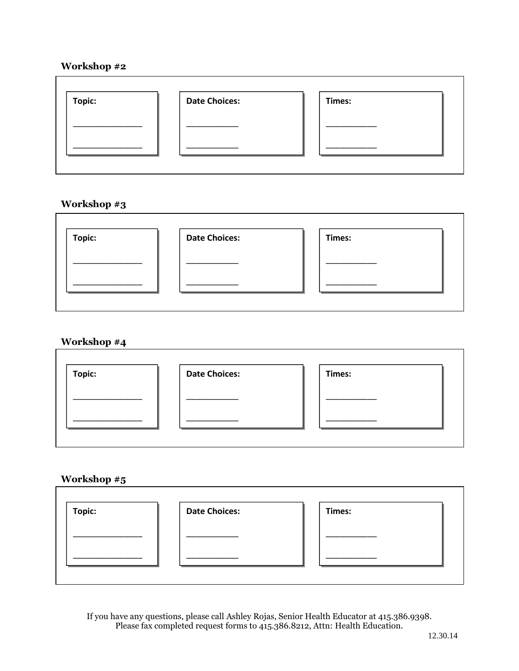## **Workshop #2**

| Topic: | <b>Date Choices:</b> | Times: |
|--------|----------------------|--------|
|        |                      |        |
|        |                      |        |

## **Workshop #3**

| Topic: | <b>Date Choices:</b> | Times: |
|--------|----------------------|--------|
|        |                      |        |
|        |                      |        |

## **Workshop #4**

| Topic: | <b>Date Choices:</b> | Times: |
|--------|----------------------|--------|
|        |                      |        |
|        |                      |        |
|        |                      |        |
|        |                      |        |
|        |                      |        |

## **Workshop #5**

| Topic: | <b>Date Choices:</b> | Times: |
|--------|----------------------|--------|
|        |                      |        |
|        |                      |        |

If you have any questions, please call Ashley Rojas, Senior Health Educator at 415.386.9398. Please fax completed request forms to 415.386.8212, Attn: Health Education.